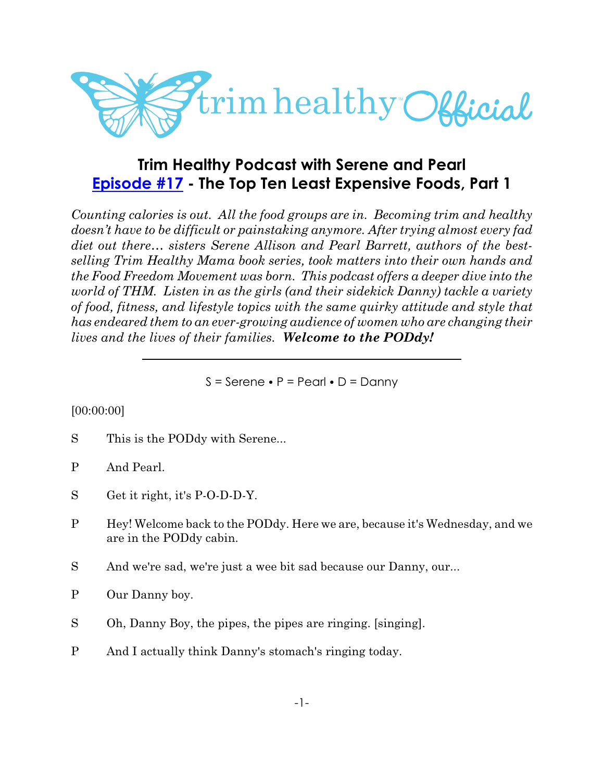

# **Trim Healthy Podcast with Serene and Pearl [Episode #17](https://cms.megaphone.fm/channel/trimhealthypodcast?selected=ADL5922966262) - The Top Ten Least Expensive Foods, Part 1**

*Counting calories is out. All the food groups are in. Becoming trim and healthy doesn't have to be difficult or painstaking anymore. After trying almost every fad diet out there… sisters Serene Allison and Pearl Barrett, authors of the bestselling Trim Healthy Mama book series, took matters into their own hands and the Food Freedom Movement was born. This podcast offers a deeper dive into the world of THM. Listen in as the girls (and their sidekick Danny) tackle a variety of food, fitness, and lifestyle topics with the same quirky attitude and style that has endeared them to an ever-growing audience of women who are changing their lives and the lives of their families. Welcome to the PODdy!*

 $S =$  Serene  $\bullet$  P = Pearl  $\bullet$  D = Danny

## [00:00:00]

- S This is the PODdy with Serene...
- P And Pearl.
- S Get it right, it's P-O-D-D-Y.
- P Hey! Welcome back to the PODdy. Here we are, because it's Wednesday, and we are in the PODdy cabin.
- S And we're sad, we're just a wee bit sad because our Danny, our...
- P Our Danny boy.
- S Oh, Danny Boy, the pipes, the pipes are ringing. [singing].
- P And I actually think Danny's stomach's ringing today.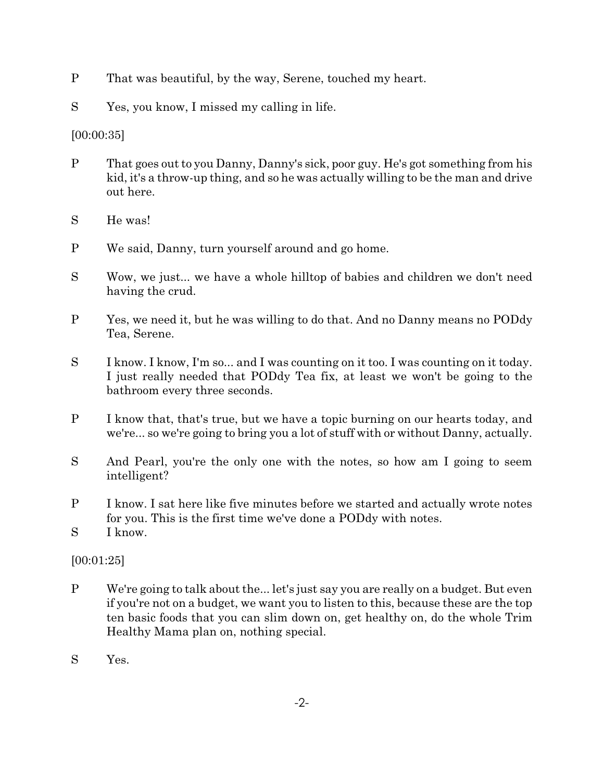- P That was beautiful, by the way, Serene, touched my heart.
- S Yes, you know, I missed my calling in life.

[00:00:35]

- P That goes out to you Danny, Danny's sick, poor guy. He's got something from his kid, it's a throw-up thing, and so he was actually willing to be the man and drive out here.
- S He was!
- P We said, Danny, turn yourself around and go home.
- S Wow, we just... we have a whole hilltop of babies and children we don't need having the crud.
- P Yes, we need it, but he was willing to do that. And no Danny means no PODdy Tea, Serene.
- S I know. I know, I'm so... and I was counting on it too. I was counting on it today. I just really needed that PODdy Tea fix, at least we won't be going to the bathroom every three seconds.
- P I know that, that's true, but we have a topic burning on our hearts today, and we're... so we're going to bring you a lot of stuff with or without Danny, actually.
- S And Pearl, you're the only one with the notes, so how am I going to seem intelligent?
- P I know. I sat here like five minutes before we started and actually wrote notes for you. This is the first time we've done a PODdy with notes.
- S I know.

[00:01:25]

- P We're going to talk about the... let's just say you are really on a budget. But even if you're not on a budget, we want you to listen to this, because these are the top ten basic foods that you can slim down on, get healthy on, do the whole Trim Healthy Mama plan on, nothing special.
- S Yes.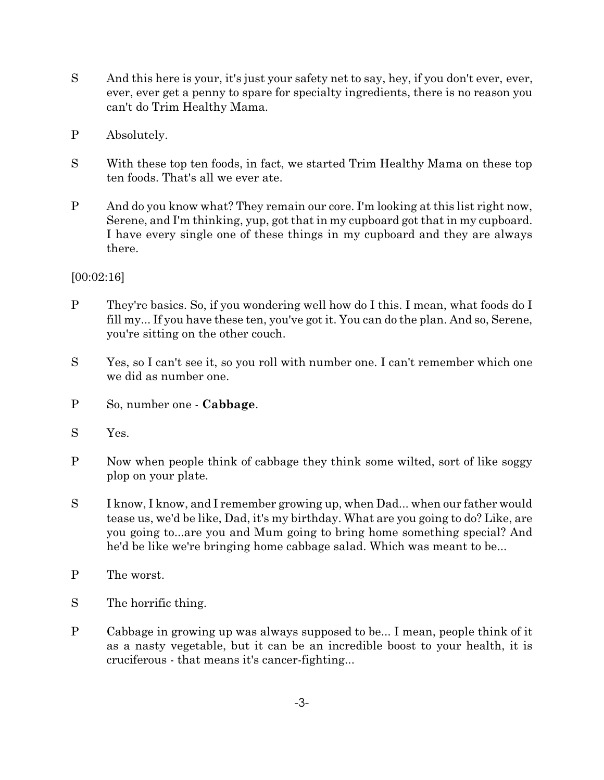- S And this here is your, it's just your safety net to say, hey, if you don't ever, ever, ever, ever get a penny to spare for specialty ingredients, there is no reason you can't do Trim Healthy Mama.
- P Absolutely.
- S With these top ten foods, in fact, we started Trim Healthy Mama on these top ten foods. That's all we ever ate.
- P And do you know what? They remain our core. I'm looking at this list right now, Serene, and I'm thinking, yup, got that in my cupboard got that in my cupboard. I have every single one of these things in my cupboard and they are always there.

## [00:02:16]

- P They're basics. So, if you wondering well how do I this. I mean, what foods do I fill my... If you have these ten, you've got it. You can do the plan. And so, Serene, you're sitting on the other couch.
- S Yes, so I can't see it, so you roll with number one. I can't remember which one we did as number one.
- P So, number one **Cabbage**.
- S Yes.
- P Now when people think of cabbage they think some wilted, sort of like soggy plop on your plate.
- S I know, I know, and I remember growing up, when Dad... when our father would tease us, we'd be like, Dad, it's my birthday. What are you going to do? Like, are you going to...are you and Mum going to bring home something special? And he'd be like we're bringing home cabbage salad. Which was meant to be...
- P The worst.
- S The horrific thing.
- P Cabbage in growing up was always supposed to be... I mean, people think of it as a nasty vegetable, but it can be an incredible boost to your health, it is cruciferous - that means it's cancer-fighting...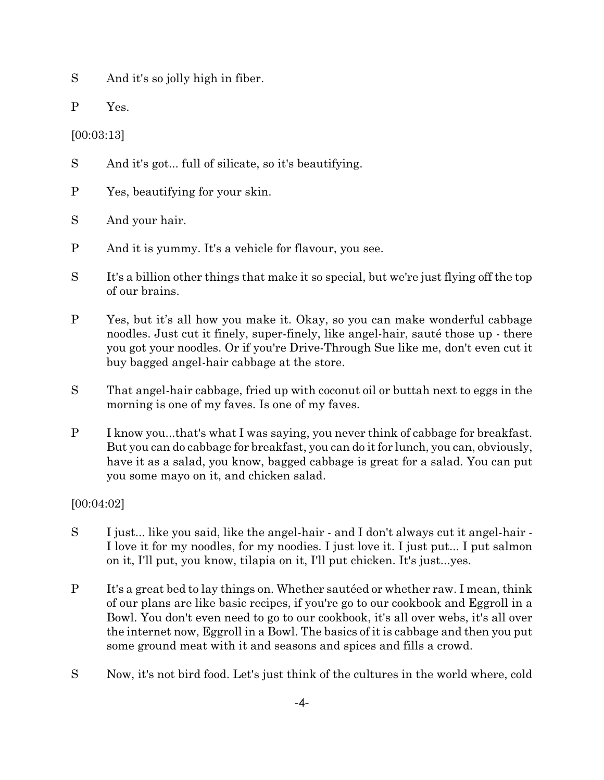S And it's so jolly high in fiber.

P Yes.

[00:03:13]

S And it's got... full of silicate, so it's beautifying.

P Yes, beautifying for your skin.

S And your hair.

- P And it is yummy. It's a vehicle for flavour, you see.
- S It's a billion other things that make it so special, but we're just flying off the top of our brains.
- P Yes, but it's all how you make it. Okay, so you can make wonderful cabbage noodles. Just cut it finely, super-finely, like angel-hair, sauté those up - there you got your noodles. Or if you're Drive-Through Sue like me, don't even cut it buy bagged angel-hair cabbage at the store.
- S That angel-hair cabbage, fried up with coconut oil or buttah next to eggs in the morning is one of my faves. Is one of my faves.
- P I know you...that's what I was saying, you never think of cabbage for breakfast. But you can do cabbage for breakfast, you can do it for lunch, you can, obviously, have it as a salad, you know, bagged cabbage is great for a salad. You can put you some mayo on it, and chicken salad.

[00:04:02]

- S I just... like you said, like the angel-hair and I don't always cut it angel-hair I love it for my noodles, for my noodies. I just love it. I just put... I put salmon on it, I'll put, you know, tilapia on it, I'll put chicken. It's just...yes.
- P It's a great bed to lay things on. Whether sautéed or whether raw. I mean, think of our plans are like basic recipes, if you're go to our cookbook and Eggroll in a Bowl. You don't even need to go to our cookbook, it's all over webs, it's all over the internet now, Eggroll in a Bowl. The basics of it is cabbage and then you put some ground meat with it and seasons and spices and fills a crowd.
- S Now, it's not bird food. Let's just think of the cultures in the world where, cold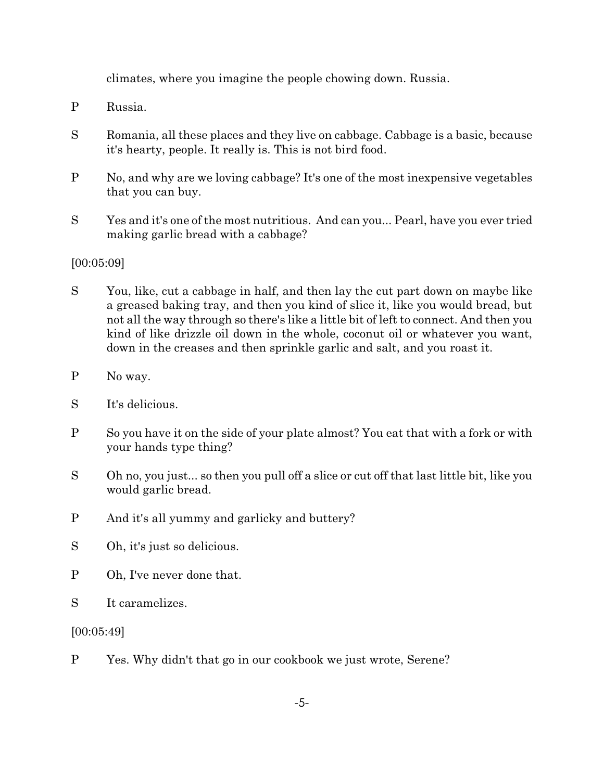climates, where you imagine the people chowing down. Russia.

- P Russia.
- S Romania, all these places and they live on cabbage. Cabbage is a basic, because it's hearty, people. It really is. This is not bird food.
- P No, and why are we loving cabbage? It's one of the most inexpensive vegetables that you can buy.
- S Yes and it's one of the most nutritious. And can you... Pearl, have you ever tried making garlic bread with a cabbage?

## [00:05:09]

- S You, like, cut a cabbage in half, and then lay the cut part down on maybe like a greased baking tray, and then you kind of slice it, like you would bread, but not all the way through so there's like a little bit of left to connect. And then you kind of like drizzle oil down in the whole, coconut oil or whatever you want, down in the creases and then sprinkle garlic and salt, and you roast it.
- P No way.
- S It's delicious.
- P So you have it on the side of your plate almost? You eat that with a fork or with your hands type thing?
- S Oh no, you just... so then you pull off a slice or cut off that last little bit, like you would garlic bread.
- P And it's all yummy and garlicky and buttery?
- S Oh, it's just so delicious.
- P Oh, I've never done that.
- S It caramelizes.

[00:05:49]

P Yes. Why didn't that go in our cookbook we just wrote, Serene?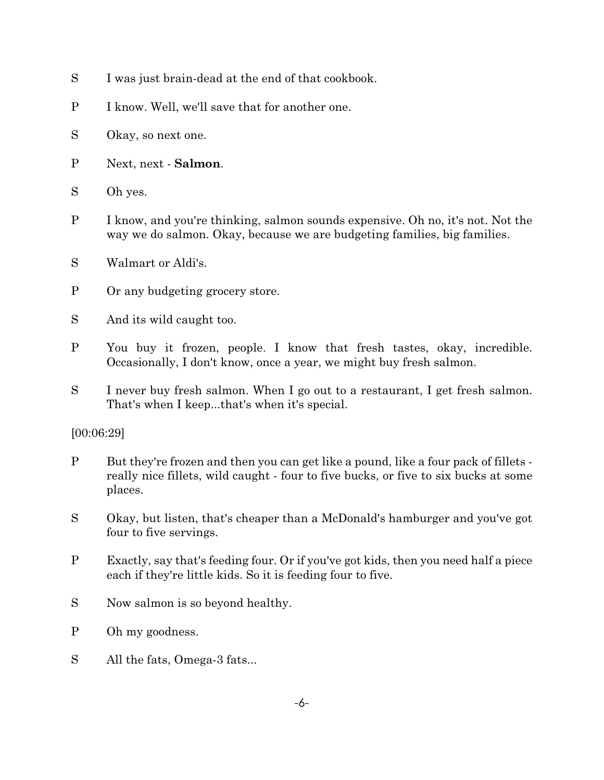- S I was just brain-dead at the end of that cookbook.
- P I know. Well, we'll save that for another one.
- S Okay, so next one.
- P Next, next **Salmon**.
- S Oh yes.
- P I know, and you're thinking, salmon sounds expensive. Oh no, it's not. Not the way we do salmon. Okay, because we are budgeting families, big families.
- S Walmart or Aldi's.
- P Or any budgeting grocery store.
- S And its wild caught too.
- P You buy it frozen, people. I know that fresh tastes, okay, incredible. Occasionally, I don't know, once a year, we might buy fresh salmon.
- S I never buy fresh salmon. When I go out to a restaurant, I get fresh salmon. That's when I keep...that's when it's special.

## [00:06:29]

- P But they're frozen and then you can get like a pound, like a four pack of fillets really nice fillets, wild caught - four to five bucks, or five to six bucks at some places.
- S Okay, but listen, that's cheaper than a McDonald's hamburger and you've got four to five servings.
- P Exactly, say that's feeding four. Or if you've got kids, then you need half a piece each if they're little kids. So it is feeding four to five.
- S Now salmon is so beyond healthy.
- P Oh my goodness.
- S All the fats, Omega-3 fats...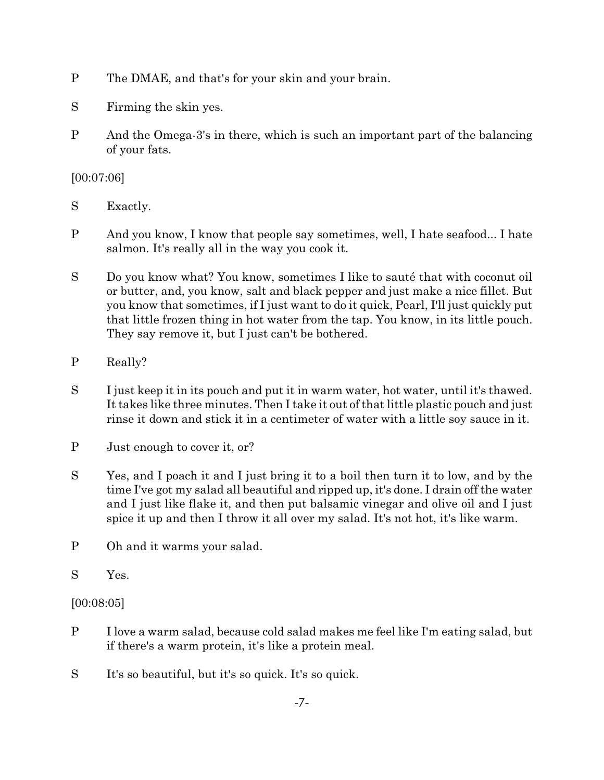- P The DMAE, and that's for your skin and your brain.
- S Firming the skin yes.
- P And the Omega-3's in there, which is such an important part of the balancing of your fats.

[00:07:06]

- S Exactly.
- P And you know, I know that people say sometimes, well, I hate seafood... I hate salmon. It's really all in the way you cook it.
- S Do you know what? You know, sometimes I like to sauté that with coconut oil or butter, and, you know, salt and black pepper and just make a nice fillet. But you know that sometimes, if I just want to do it quick, Pearl, I'll just quickly put that little frozen thing in hot water from the tap. You know, in its little pouch. They say remove it, but I just can't be bothered.
- P Really?
- S I just keep it in its pouch and put it in warm water, hot water, until it's thawed. It takes like three minutes. Then I take it out of that little plastic pouch and just rinse it down and stick it in a centimeter of water with a little soy sauce in it.
- P Just enough to cover it, or?
- S Yes, and I poach it and I just bring it to a boil then turn it to low, and by the time I've got my salad all beautiful and ripped up, it's done. I drain off the water and I just like flake it, and then put balsamic vinegar and olive oil and I just spice it up and then I throw it all over my salad. It's not hot, it's like warm.
- P Oh and it warms your salad.
- S Yes.

## [00:08:05]

- P I love a warm salad, because cold salad makes me feel like I'm eating salad, but if there's a warm protein, it's like a protein meal.
- S It's so beautiful, but it's so quick. It's so quick.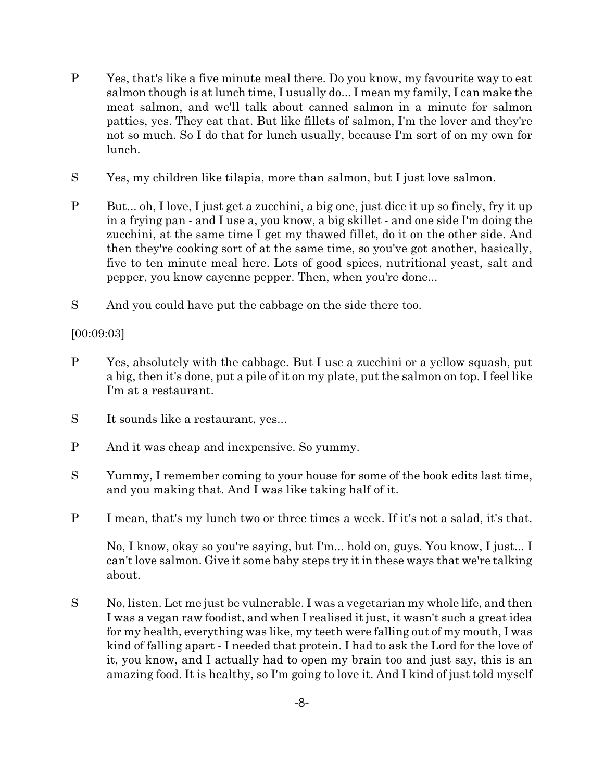- P Yes, that's like a five minute meal there. Do you know, my favourite way to eat salmon though is at lunch time, I usually do... I mean my family, I can make the meat salmon, and we'll talk about canned salmon in a minute for salmon patties, yes. They eat that. But like fillets of salmon, I'm the lover and they're not so much. So I do that for lunch usually, because I'm sort of on my own for lunch.
- S Yes, my children like tilapia, more than salmon, but I just love salmon.
- P But... oh, I love, I just get a zucchini, a big one, just dice it up so finely, fry it up in a frying pan - and I use a, you know, a big skillet - and one side I'm doing the zucchini, at the same time I get my thawed fillet, do it on the other side. And then they're cooking sort of at the same time, so you've got another, basically, five to ten minute meal here. Lots of good spices, nutritional yeast, salt and pepper, you know cayenne pepper. Then, when you're done...
- S And you could have put the cabbage on the side there too.

## [00:09:03]

- P Yes, absolutely with the cabbage. But I use a zucchini or a yellow squash, put a big, then it's done, put a pile of it on my plate, put the salmon on top. I feel like I'm at a restaurant.
- S It sounds like a restaurant, yes...
- P And it was cheap and inexpensive. So yummy.
- S Yummy, I remember coming to your house for some of the book edits last time, and you making that. And I was like taking half of it.
- P I mean, that's my lunch two or three times a week. If it's not a salad, it's that.

No, I know, okay so you're saying, but I'm... hold on, guys. You know, I just... I can't love salmon. Give it some baby steps try it in these ways that we're talking about.

S No, listen. Let me just be vulnerable. I was a vegetarian my whole life, and then I was a vegan raw foodist, and when I realised it just, it wasn't such a great idea for my health, everything was like, my teeth were falling out of my mouth, I was kind of falling apart - I needed that protein. I had to ask the Lord for the love of it, you know, and I actually had to open my brain too and just say, this is an amazing food. It is healthy, so I'm going to love it. And I kind of just told myself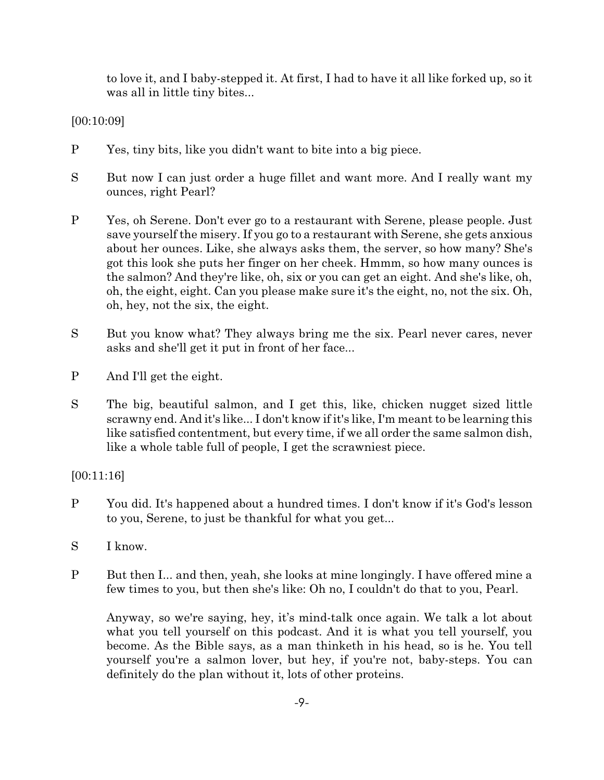to love it, and I baby-stepped it. At first, I had to have it all like forked up, so it was all in little tiny bites...

[00:10:09]

- P Yes, tiny bits, like you didn't want to bite into a big piece.
- S But now I can just order a huge fillet and want more. And I really want my ounces, right Pearl?
- P Yes, oh Serene. Don't ever go to a restaurant with Serene, please people. Just save yourself the misery. If you go to a restaurant with Serene, she gets anxious about her ounces. Like, she always asks them, the server, so how many? She's got this look she puts her finger on her cheek. Hmmm, so how many ounces is the salmon? And they're like, oh, six or you can get an eight. And she's like, oh, oh, the eight, eight. Can you please make sure it's the eight, no, not the six. Oh, oh, hey, not the six, the eight.
- S But you know what? They always bring me the six. Pearl never cares, never asks and she'll get it put in front of her face...
- P And I'll get the eight.
- S The big, beautiful salmon, and I get this, like, chicken nugget sized little scrawny end. And it's like... I don't know if it's like, I'm meant to be learning this like satisfied contentment, but every time, if we all order the same salmon dish, like a whole table full of people, I get the scrawniest piece.

[00:11:16]

- P You did. It's happened about a hundred times. I don't know if it's God's lesson to you, Serene, to just be thankful for what you get...
- S I know.
- P But then I... and then, yeah, she looks at mine longingly. I have offered mine a few times to you, but then she's like: Oh no, I couldn't do that to you, Pearl.

Anyway, so we're saying, hey, it's mind-talk once again. We talk a lot about what you tell yourself on this podcast. And it is what you tell yourself, you become. As the Bible says, as a man thinketh in his head, so is he. You tell yourself you're a salmon lover, but hey, if you're not, baby-steps. You can definitely do the plan without it, lots of other proteins.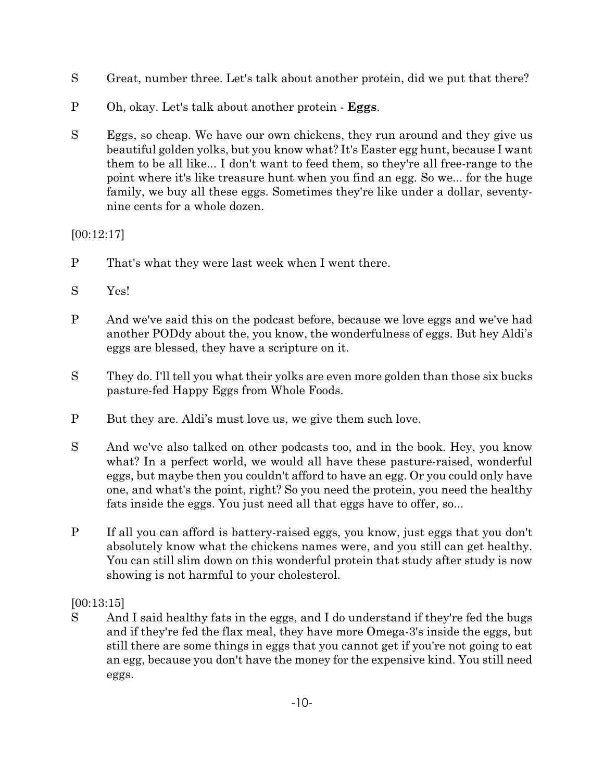- S Great, number three. Let's talk about another protein, did we put that there?
- P Oh, okay. Let's talk about another protein **Eggs**.
- S Eggs, so cheap. We have our own chickens, they run around and they give us beautiful golden yolks, but you know what? It's Easter egg hunt, because I want them to be all like... I don't want to feed them, so they're all free-range to the point where it's like treasure hunt when you find an egg. So we... for the huge family, we buy all these eggs. Sometimes they're like under a dollar, seventynine cents for a whole dozen.

## [00:12:17]

- P That's what they were last week when I went there.
- S Yes!
- P And we've said this on the podcast before, because we love eggs and we've had another PODdy about the, you know, the wonderfulness of eggs. But hey Aldi's eggs are blessed, they have a scripture on it.
- S They do. I'll tell you what their yolks are even more golden than those six bucks pasture-fed Happy Eggs from Whole Foods.
- P But they are. Aldi's must love us, we give them such love.
- S And we've also talked on other podcasts too, and in the book. Hey, you know what? In a perfect world, we would all have these pasture-raised, wonderful eggs, but maybe then you couldn't afford to have an egg. Or you could only have one, and what's the point, right? So you need the protein, you need the healthy fats inside the eggs. You just need all that eggs have to offer, so...
- P If all you can afford is battery-raised eggs, you know, just eggs that you don't absolutely know what the chickens names were, and you still can get healthy. You can still slim down on this wonderful protein that study after study is now showing is not harmful to your cholesterol.

# [00:13:15]

S And I said healthy fats in the eggs, and I do understand if they're fed the bugs and if they're fed the flax meal, they have more Omega-3's inside the eggs, but still there are some things in eggs that you cannot get if you're not going to eat an egg, because you don't have the money for the expensive kind. You still need eggs.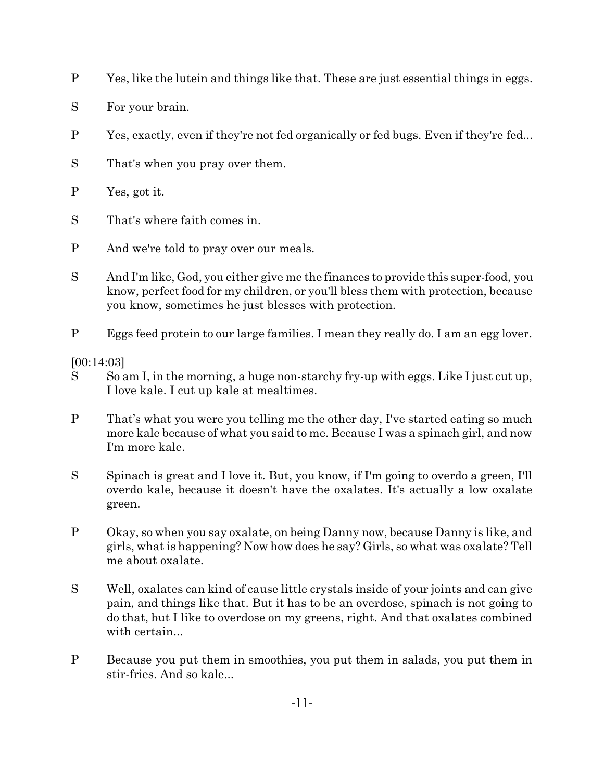- P Yes, like the lutein and things like that. These are just essential things in eggs.
- S For your brain.
- P Yes, exactly, even if they're not fed organically or fed bugs. Even if they're fed...
- S That's when you pray over them.
- P Yes, got it.
- S That's where faith comes in.
- P And we're told to pray over our meals.
- S And I'm like, God, you either give me the finances to provide this super-food, you know, perfect food for my children, or you'll bless them with protection, because you know, sometimes he just blesses with protection.
- P Eggs feed protein to our large families. I mean they really do. I am an egg lover.

[00:14:03]

- S So am I, in the morning, a huge non-starchy fry-up with eggs. Like I just cut up, I love kale. I cut up kale at mealtimes.
- P That's what you were you telling me the other day, I've started eating so much more kale because of what you said to me. Because I was a spinach girl, and now I'm more kale.
- S Spinach is great and I love it. But, you know, if I'm going to overdo a green, I'll overdo kale, because it doesn't have the oxalates. It's actually a low oxalate green.
- P Okay, so when you say oxalate, on being Danny now, because Danny is like, and girls, what is happening? Now how does he say? Girls, so what was oxalate? Tell me about oxalate.
- S Well, oxalates can kind of cause little crystals inside of your joints and can give pain, and things like that. But it has to be an overdose, spinach is not going to do that, but I like to overdose on my greens, right. And that oxalates combined with certain...
- P Because you put them in smoothies, you put them in salads, you put them in stir-fries. And so kale...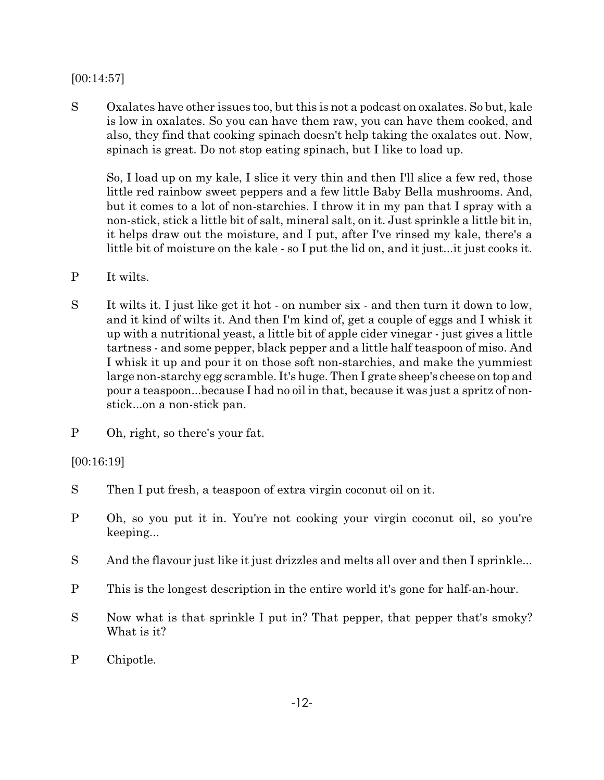#### [00:14:57]

S Oxalates have other issues too, but this is not a podcast on oxalates. So but, kale is low in oxalates. So you can have them raw, you can have them cooked, and also, they find that cooking spinach doesn't help taking the oxalates out. Now, spinach is great. Do not stop eating spinach, but I like to load up.

So, I load up on my kale, I slice it very thin and then I'll slice a few red, those little red rainbow sweet peppers and a few little Baby Bella mushrooms. And, but it comes to a lot of non-starchies. I throw it in my pan that I spray with a non-stick, stick a little bit of salt, mineral salt, on it. Just sprinkle a little bit in, it helps draw out the moisture, and I put, after I've rinsed my kale, there's a little bit of moisture on the kale - so I put the lid on, and it just...it just cooks it.

- P It wilts.
- S It wilts it. I just like get it hot on number six and then turn it down to low, and it kind of wilts it. And then I'm kind of, get a couple of eggs and I whisk it up with a nutritional yeast, a little bit of apple cider vinegar - just gives a little tartness - and some pepper, black pepper and a little half teaspoon of miso. And I whisk it up and pour it on those soft non-starchies, and make the yummiest large non-starchy egg scramble. It's huge. Then I grate sheep's cheese on top and pour a teaspoon...because I had no oil in that, because it was just a spritz of nonstick...on a non-stick pan.
- P Oh, right, so there's your fat.

#### [00:16:19]

- S Then I put fresh, a teaspoon of extra virgin coconut oil on it.
- P Oh, so you put it in. You're not cooking your virgin coconut oil, so you're keeping...
- S And the flavour just like it just drizzles and melts all over and then I sprinkle...
- P This is the longest description in the entire world it's gone for half-an-hour.
- S Now what is that sprinkle I put in? That pepper, that pepper that's smoky? What is it?
- P Chipotle.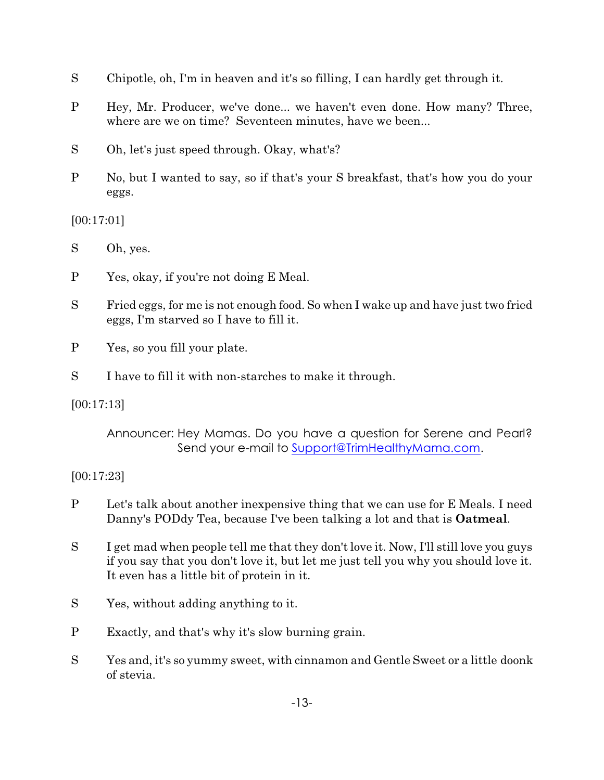- S Chipotle, oh, I'm in heaven and it's so filling, I can hardly get through it.
- P Hey, Mr. Producer, we've done... we haven't even done. How many? Three, where are we on time? Seventeen minutes, have we been...
- S Oh, let's just speed through. Okay, what's?
- P No, but I wanted to say, so if that's your S breakfast, that's how you do your eggs.

[00:17:01]

S Oh, yes.

- P Yes, okay, if you're not doing E Meal.
- S Fried eggs, for me is not enough food. So when I wake up and have just two fried eggs, I'm starved so I have to fill it.
- P Yes, so you fill your plate.
- S I have to fill it with non-starches to make it through.

[00:17:13]

## [00:17:23]

- P Let's talk about another inexpensive thing that we can use for E Meals. I need Danny's PODdy Tea, because I've been talking a lot and that is **Oatmeal**.
- S I get mad when people tell me that they don't love it. Now, I'll still love you guys if you say that you don't love it, but let me just tell you why you should love it. It even has a little bit of protein in it.
- S Yes, without adding anything to it.
- P Exactly, and that's why it's slow burning grain.
- S Yes and, it's so yummy sweet, with cinnamon and Gentle Sweet or a little doonk of stevia.

Announcer: Hey Mamas. Do you have a question for Serene and Pearl? Send your e-mail to [Support@TrimHealthyMama.com](file:///|//support@trimhealthymama.com).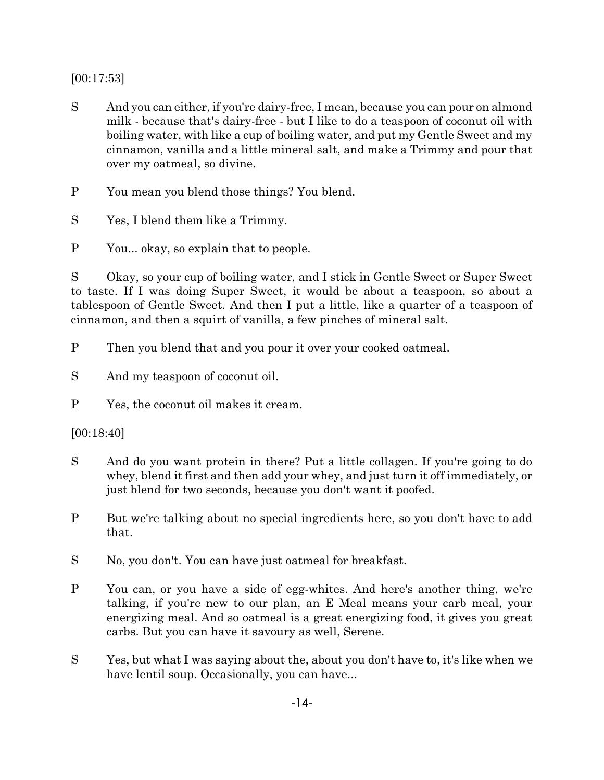[00:17:53]

S And you can either, if you're dairy-free, I mean, because you can pour on almond milk - because that's dairy-free - but I like to do a teaspoon of coconut oil with boiling water, with like a cup of boiling water, and put my Gentle Sweet and my cinnamon, vanilla and a little mineral salt, and make a Trimmy and pour that over my oatmeal, so divine.

P You mean you blend those things? You blend.

S Yes, I blend them like a Trimmy.

P You... okay, so explain that to people.

S Okay, so your cup of boiling water, and I stick in Gentle Sweet or Super Sweet to taste. If I was doing Super Sweet, it would be about a teaspoon, so about a tablespoon of Gentle Sweet. And then I put a little, like a quarter of a teaspoon of cinnamon, and then a squirt of vanilla, a few pinches of mineral salt.

P Then you blend that and you pour it over your cooked oatmeal.

- S And my teaspoon of coconut oil.
- P Yes, the coconut oil makes it cream.

[00:18:40]

- S And do you want protein in there? Put a little collagen. If you're going to do whey, blend it first and then add your whey, and just turn it off immediately, or just blend for two seconds, because you don't want it poofed.
- P But we're talking about no special ingredients here, so you don't have to add that.
- S No, you don't. You can have just oatmeal for breakfast.
- P You can, or you have a side of egg-whites. And here's another thing, we're talking, if you're new to our plan, an E Meal means your carb meal, your energizing meal. And so oatmeal is a great energizing food, it gives you great carbs. But you can have it savoury as well, Serene.
- S Yes, but what I was saying about the, about you don't have to, it's like when we have lentil soup. Occasionally, you can have...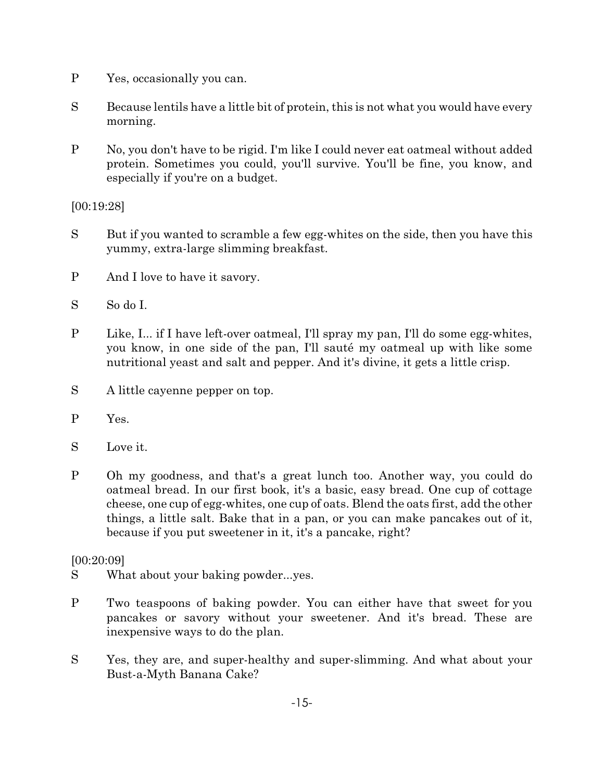- P Yes, occasionally you can.
- S Because lentils have a little bit of protein, this is not what you would have every morning.
- P No, you don't have to be rigid. I'm like I could never eat oatmeal without added protein. Sometimes you could, you'll survive. You'll be fine, you know, and especially if you're on a budget.

[00:19:28]

- S But if you wanted to scramble a few egg-whites on the side, then you have this yummy, extra-large slimming breakfast.
- P And I love to have it savory.
- S So do I.
- P Like, I... if I have left-over oatmeal, I'll spray my pan, I'll do some egg-whites, you know, in one side of the pan, I'll sauté my oatmeal up with like some nutritional yeast and salt and pepper. And it's divine, it gets a little crisp.
- S A little cayenne pepper on top.
- P Yes.
- S Love it.
- P Oh my goodness, and that's a great lunch too. Another way, you could do oatmeal bread. In our first book, it's a basic, easy bread. One cup of cottage cheese, one cup of egg-whites, one cup of oats. Blend the oats first, add the other things, a little salt. Bake that in a pan, or you can make pancakes out of it, because if you put sweetener in it, it's a pancake, right?

[00:20:09]

- S What about your baking powder...yes.
- P Two teaspoons of baking powder. You can either have that sweet for you pancakes or savory without your sweetener. And it's bread. These are inexpensive ways to do the plan.
- S Yes, they are, and super-healthy and super-slimming. And what about your Bust-a-Myth Banana Cake?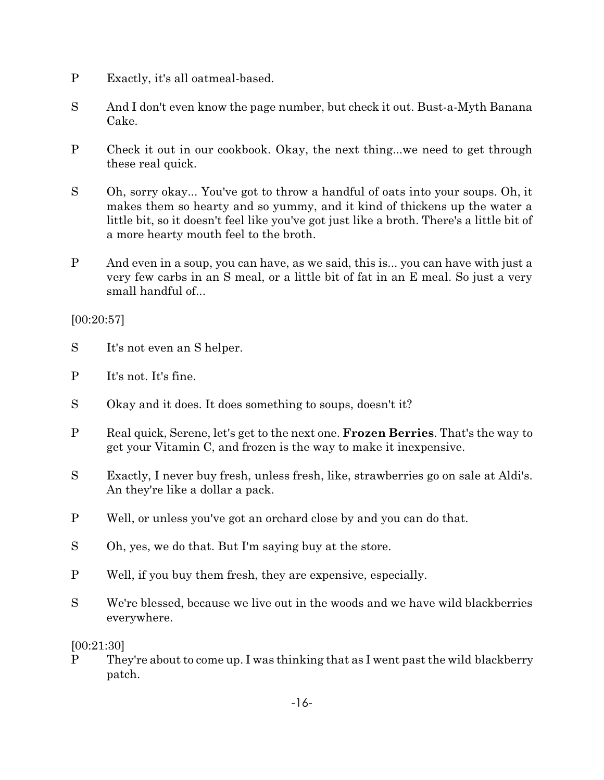- P Exactly, it's all oatmeal-based.
- S And I don't even know the page number, but check it out. Bust-a-Myth Banana Cake.
- P Check it out in our cookbook. Okay, the next thing...we need to get through these real quick.
- S Oh, sorry okay... You've got to throw a handful of oats into your soups. Oh, it makes them so hearty and so yummy, and it kind of thickens up the water a little bit, so it doesn't feel like you've got just like a broth. There's a little bit of a more hearty mouth feel to the broth.
- P And even in a soup, you can have, as we said, this is... you can have with just a very few carbs in an S meal, or a little bit of fat in an E meal. So just a very small handful of...

[00:20:57]

- S It's not even an S helper.
- P It's not. It's fine.
- S Okay and it does. It does something to soups, doesn't it?
- P Real quick, Serene, let's get to the next one. **Frozen Berries**. That's the way to get your Vitamin C, and frozen is the way to make it inexpensive.
- S Exactly, I never buy fresh, unless fresh, like, strawberries go on sale at Aldi's. An they're like a dollar a pack.
- P Well, or unless you've got an orchard close by and you can do that.
- S Oh, yes, we do that. But I'm saying buy at the store.
- P Well, if you buy them fresh, they are expensive, especially.
- S We're blessed, because we live out in the woods and we have wild blackberries everywhere.

[00:21:30]

P They're about to come up. I was thinking that as I went past the wild blackberry patch.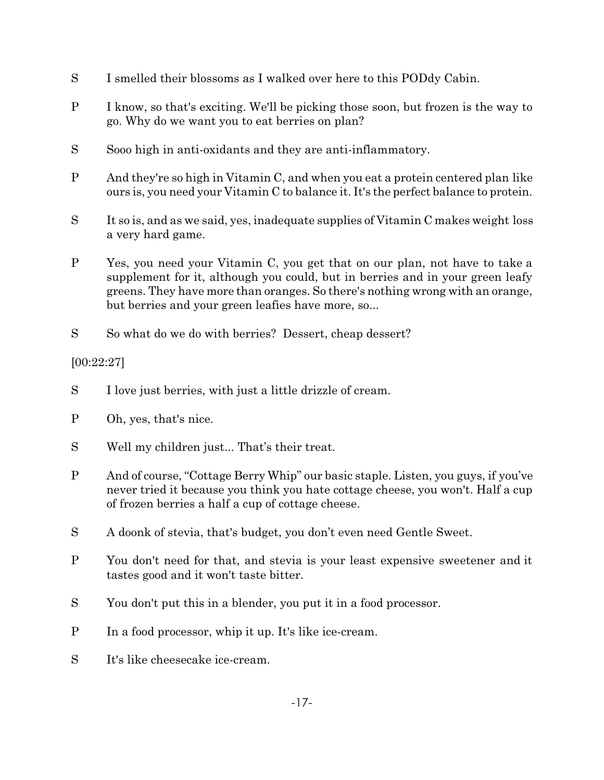- S I smelled their blossoms as I walked over here to this PODdy Cabin.
- P I know, so that's exciting. We'll be picking those soon, but frozen is the way to go. Why do we want you to eat berries on plan?
- S Sooo high in anti-oxidants and they are anti-inflammatory.
- P And they're so high in Vitamin C, and when you eat a protein centered plan like ours is, you need your Vitamin C to balance it. It's the perfect balance to protein.
- S It so is, and as we said, yes, inadequate supplies of Vitamin C makes weight loss a very hard game.
- P Yes, you need your Vitamin C, you get that on our plan, not have to take a supplement for it, although you could, but in berries and in your green leafy greens. They have more than oranges. So there's nothing wrong with an orange, but berries and your green leafies have more, so...
- S So what do we do with berries? Dessert, cheap dessert?

# [00:22:27]

- S I love just berries, with just a little drizzle of cream.
- P Oh, yes, that's nice.
- S Well my children just... That's their treat.
- P And of course, "Cottage Berry Whip" our basic staple. Listen, you guys, if you've never tried it because you think you hate cottage cheese, you won't. Half a cup of frozen berries a half a cup of cottage cheese.
- S A doonk of stevia, that's budget, you don't even need Gentle Sweet.
- P You don't need for that, and stevia is your least expensive sweetener and it tastes good and it won't taste bitter.
- S You don't put this in a blender, you put it in a food processor.
- P In a food processor, whip it up. It's like ice-cream.
- S It's like cheesecake ice-cream.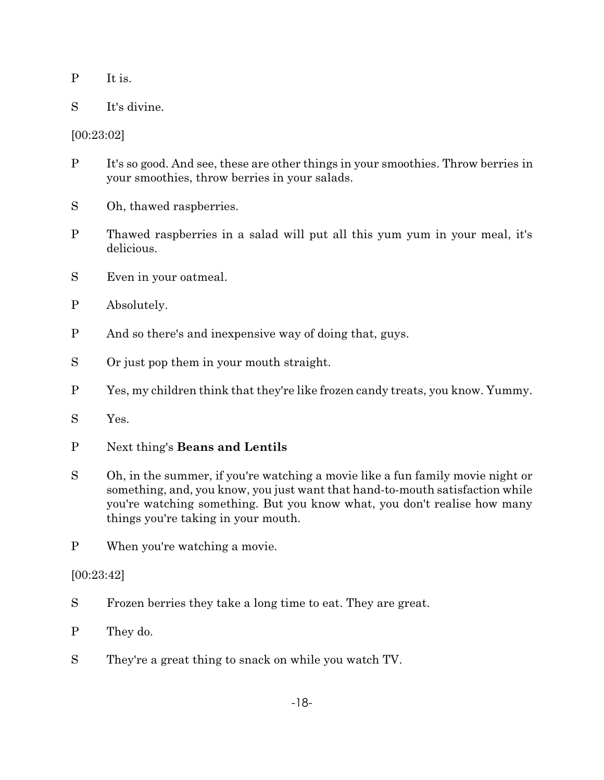- P It is.
- S It's divine.

[00:23:02]

- P It's so good. And see, these are other things in your smoothies. Throw berries in your smoothies, throw berries in your salads.
- S Oh, thawed raspberries.
- P Thawed raspberries in a salad will put all this yum yum in your meal, it's delicious.
- S Even in your oatmeal.
- P Absolutely.
- P And so there's and inexpensive way of doing that, guys.
- S Or just pop them in your mouth straight.
- P Yes, my children think that they're like frozen candy treats, you know. Yummy.
- S Yes.
- P Next thing's **Beans and Lentils**
- S Oh, in the summer, if you're watching a movie like a fun family movie night or something, and, you know, you just want that hand-to-mouth satisfaction while you're watching something. But you know what, you don't realise how many things you're taking in your mouth.
- P When you're watching a movie.

[00:23:42]

- S Frozen berries they take a long time to eat. They are great.
- P They do.
- S They're a great thing to snack on while you watch TV.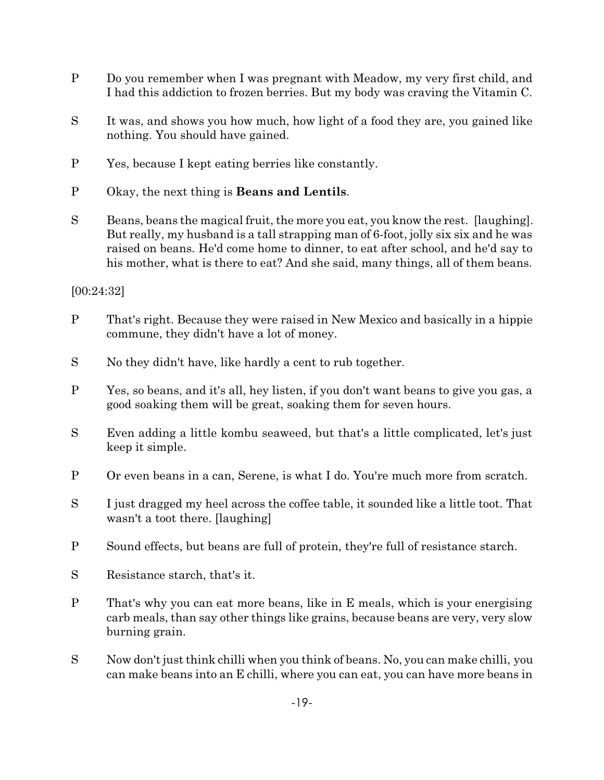- P Do you remember when I was pregnant with Meadow, my very first child, and I had this addiction to frozen berries. But my body was craving the Vitamin C.
- S It was, and shows you how much, how light of a food they are, you gained like nothing. You should have gained.
- P Yes, because I kept eating berries like constantly.
- P Okay, the next thing is **Beans and Lentils**.
- S Beans, beans the magical fruit, the more you eat, you know the rest. [laughing]. But really, my husband is a tall strapping man of 6-foot, jolly six six and he was raised on beans. He'd come home to dinner, to eat after school, and he'd say to his mother, what is there to eat? And she said, many things, all of them beans.

[00:24:32]

- P That's right. Because they were raised in New Mexico and basically in a hippie commune, they didn't have a lot of money.
- S No they didn't have, like hardly a cent to rub together.
- P Yes, so beans, and it's all, hey listen, if you don't want beans to give you gas, a good soaking them will be great, soaking them for seven hours.
- S Even adding a little kombu seaweed, but that's a little complicated, let's just keep it simple.
- P Or even beans in a can, Serene, is what I do. You're much more from scratch.
- S I just dragged my heel across the coffee table, it sounded like a little toot. That wasn't a toot there. [laughing]
- P Sound effects, but beans are full of protein, they're full of resistance starch.
- S Resistance starch, that's it.
- P That's why you can eat more beans, like in E meals, which is your energising carb meals, than say other things like grains, because beans are very, very slow burning grain.
- S Now don't just think chilli when you think of beans. No, you can make chilli, you can make beans into an E chilli, where you can eat, you can have more beans in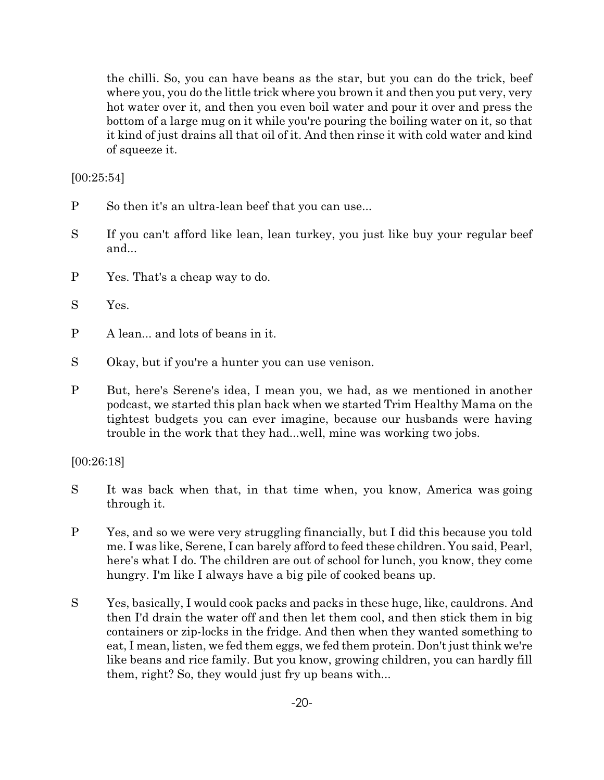the chilli. So, you can have beans as the star, but you can do the trick, beef where you, you do the little trick where you brown it and then you put very, very hot water over it, and then you even boil water and pour it over and press the bottom of a large mug on it while you're pouring the boiling water on it, so that it kind of just drains all that oil of it. And then rinse it with cold water and kind of squeeze it.

[00:25:54]

- P So then it's an ultra-lean beef that you can use...
- S If you can't afford like lean, lean turkey, you just like buy your regular beef and...
- P Yes. That's a cheap way to do.
- S Yes.
- P A lean... and lots of beans in it.
- S Okay, but if you're a hunter you can use venison.
- P But, here's Serene's idea, I mean you, we had, as we mentioned in another podcast, we started this plan back when we started Trim Healthy Mama on the tightest budgets you can ever imagine, because our husbands were having trouble in the work that they had...well, mine was working two jobs.

[00:26:18]

- S It was back when that, in that time when, you know, America was going through it.
- P Yes, and so we were very struggling financially, but I did this because you told me. I was like, Serene, I can barely afford to feed these children. You said, Pearl, here's what I do. The children are out of school for lunch, you know, they come hungry. I'm like I always have a big pile of cooked beans up.
- S Yes, basically, I would cook packs and packs in these huge, like, cauldrons. And then I'd drain the water off and then let them cool, and then stick them in big containers or zip-locks in the fridge. And then when they wanted something to eat, I mean, listen, we fed them eggs, we fed them protein. Don't just think we're like beans and rice family. But you know, growing children, you can hardly fill them, right? So, they would just fry up beans with...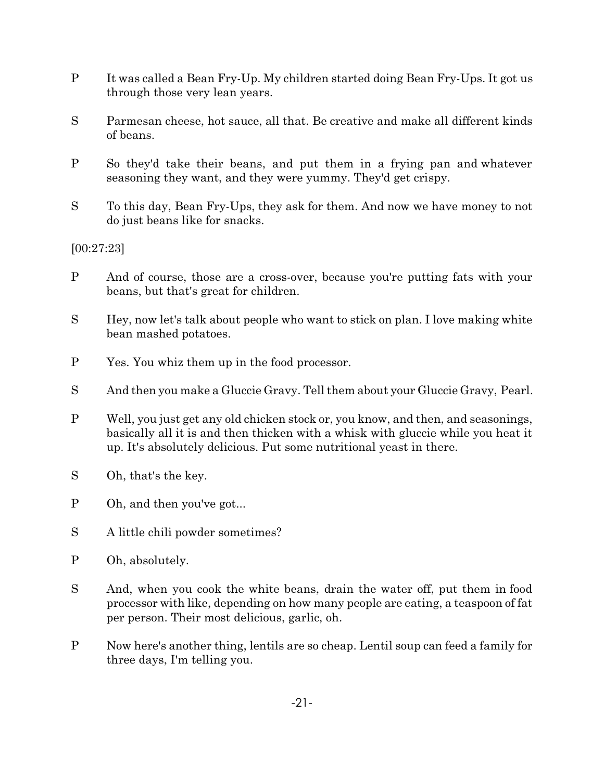- P It was called a Bean Fry-Up. My children started doing Bean Fry-Ups. It got us through those very lean years.
- S Parmesan cheese, hot sauce, all that. Be creative and make all different kinds of beans.
- P So they'd take their beans, and put them in a frying pan and whatever seasoning they want, and they were yummy. They'd get crispy.
- S To this day, Bean Fry-Ups, they ask for them. And now we have money to not do just beans like for snacks.

[00:27:23]

- P And of course, those are a cross-over, because you're putting fats with your beans, but that's great for children.
- S Hey, now let's talk about people who want to stick on plan. I love making white bean mashed potatoes.
- P Yes. You whiz them up in the food processor.
- S And then you make a Gluccie Gravy. Tell them about your Gluccie Gravy, Pearl.
- P Well, you just get any old chicken stock or, you know, and then, and seasonings, basically all it is and then thicken with a whisk with gluccie while you heat it up. It's absolutely delicious. Put some nutritional yeast in there.
- S Oh, that's the key.
- P Oh, and then you've got...
- S A little chili powder sometimes?
- P Oh, absolutely.
- S And, when you cook the white beans, drain the water off, put them in food processor with like, depending on how many people are eating, a teaspoon of fat per person. Their most delicious, garlic, oh.
- P Now here's another thing, lentils are so cheap. Lentil soup can feed a family for three days, I'm telling you.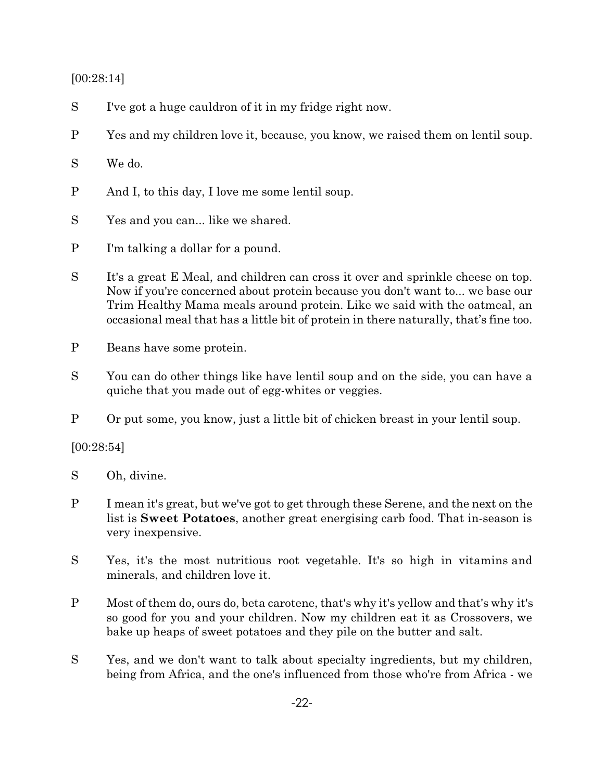#### [00:28:14]

- S I've got a huge cauldron of it in my fridge right now.
- P Yes and my children love it, because, you know, we raised them on lentil soup.

## S We do.

- P And I, to this day, I love me some lentil soup.
- S Yes and you can... like we shared.
- P I'm talking a dollar for a pound.
- S It's a great E Meal, and children can cross it over and sprinkle cheese on top. Now if you're concerned about protein because you don't want to... we base our Trim Healthy Mama meals around protein. Like we said with the oatmeal, an occasional meal that has a little bit of protein in there naturally, that's fine too.
- P Beans have some protein.
- S You can do other things like have lentil soup and on the side, you can have a quiche that you made out of egg-whites or veggies.
- P Or put some, you know, just a little bit of chicken breast in your lentil soup.

## [00:28:54]

- S Oh, divine.
- P I mean it's great, but we've got to get through these Serene, and the next on the list is **Sweet Potatoes**, another great energising carb food. That in-season is very inexpensive.
- S Yes, it's the most nutritious root vegetable. It's so high in vitamins and minerals, and children love it.
- P Most of them do, ours do, beta carotene, that's why it's yellow and that's why it's so good for you and your children. Now my children eat it as Crossovers, we bake up heaps of sweet potatoes and they pile on the butter and salt.
- S Yes, and we don't want to talk about specialty ingredients, but my children, being from Africa, and the one's influenced from those who're from Africa - we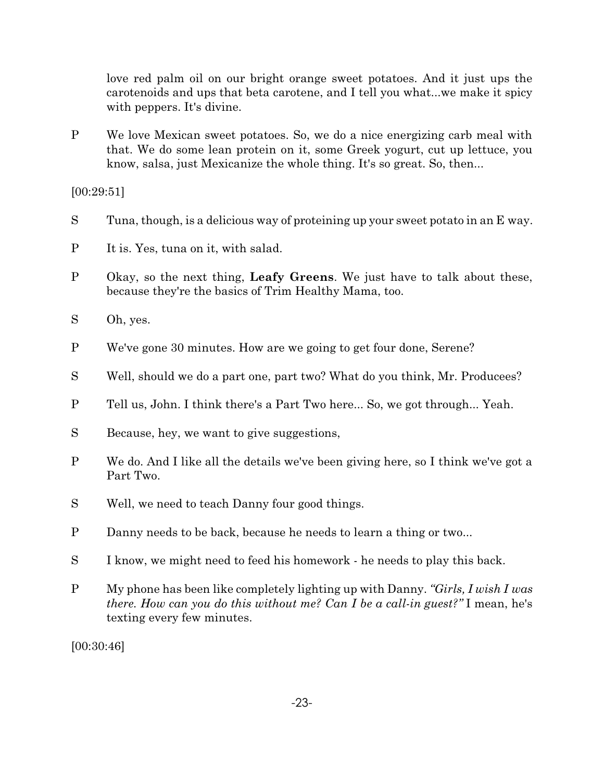love red palm oil on our bright orange sweet potatoes. And it just ups the carotenoids and ups that beta carotene, and I tell you what...we make it spicy with peppers. It's divine.

P We love Mexican sweet potatoes. So, we do a nice energizing carb meal with that. We do some lean protein on it, some Greek yogurt, cut up lettuce, you know, salsa, just Mexicanize the whole thing. It's so great. So, then...

[00:29:51]

- S Tuna, though, is a delicious way of proteining up your sweet potato in an E way.
- P It is. Yes, tuna on it, with salad.
- P Okay, so the next thing, **Leafy Greens**. We just have to talk about these, because they're the basics of Trim Healthy Mama, too.
- S Oh, yes.
- P We've gone 30 minutes. How are we going to get four done, Serene?
- S Well, should we do a part one, part two? What do you think, Mr. Producees?
- P Tell us, John. I think there's a Part Two here... So, we got through... Yeah.
- S Because, hey, we want to give suggestions,
- P We do. And I like all the details we've been giving here, so I think we've got a Part Two.
- S Well, we need to teach Danny four good things.
- P Danny needs to be back, because he needs to learn a thing or two...
- S I know, we might need to feed his homework he needs to play this back.
- P My phone has been like completely lighting up with Danny. *"Girls, I wish I was there. How can you do this without me? Can I be a call-in guest?"* I mean, he's texting every few minutes.

[00:30:46]